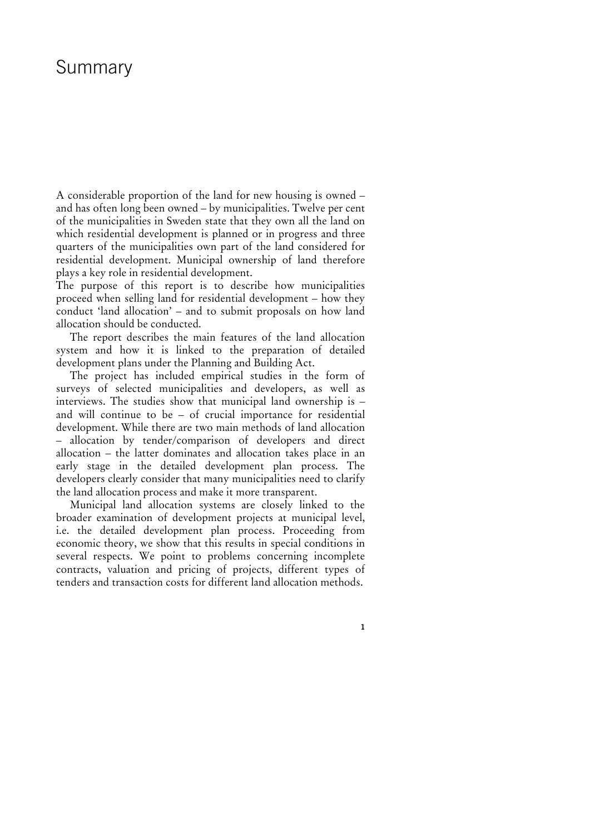## Summary

A considerable proportion of the land for new housing is owned – and has often long been owned – by municipalities. Twelve per cent of the municipalities in Sweden state that they own all the land on which residential development is planned or in progress and three quarters of the municipalities own part of the land considered for residential development. Municipal ownership of land therefore plays a key role in residential development.

The purpose of this report is to describe how municipalities proceed when selling land for residential development – how they conduct 'land allocation' – and to submit proposals on how land allocation should be conducted.

The report describes the main features of the land allocation system and how it is linked to the preparation of detailed development plans under the Planning and Building Act.

The project has included empirical studies in the form of surveys of selected municipalities and developers, as well as interviews. The studies show that municipal land ownership is – and will continue to be – of crucial importance for residential development. While there are two main methods of land allocation – allocation by tender/comparison of developers and direct allocation – the latter dominates and allocation takes place in an early stage in the detailed development plan process. The developers clearly consider that many municipalities need to clarify the land allocation process and make it more transparent.

Municipal land allocation systems are closely linked to the broader examination of development projects at municipal level, i.e. the detailed development plan process. Proceeding from economic theory, we show that this results in special conditions in several respects. We point to problems concerning incomplete contracts, valuation and pricing of projects, different types of tenders and transaction costs for different land allocation methods.

**1**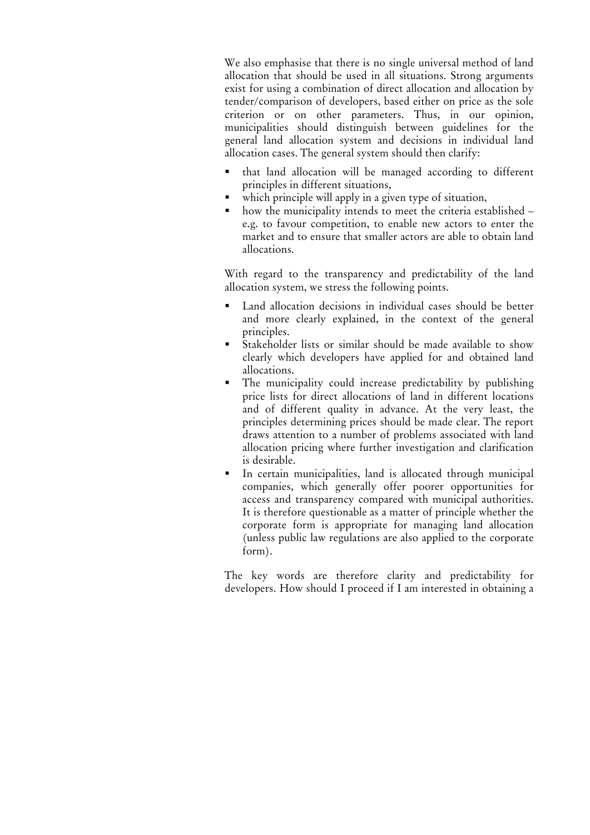We also emphasise that there is no single universal method of land allocation that should be used in all situations. Strong arguments exist for using a combination of direct allocation and allocation by tender/comparison of developers, based either on price as the sole criterion or on other parameters. Thus, in our opinion, municipalities should distinguish between guidelines for the general land allocation system and decisions in individual land allocation cases. The general system should then clarify:

- that land allocation will be managed according to different principles in different situations,
- which principle will apply in a given type of situation,
- how the municipality intends to meet the criteria established e.g. to favour competition, to enable new actors to enter the market and to ensure that smaller actors are able to obtain land allocations.

With regard to the transparency and predictability of the land allocation system, we stress the following points.

- Land allocation decisions in individual cases should be better and more clearly explained, in the context of the general principles.
- Stakeholder lists or similar should be made available to show clearly which developers have applied for and obtained land allocations.
- The municipality could increase predictability by publishing price lists for direct allocations of land in different locations and of different quality in advance. At the very least, the principles determining prices should be made clear. The report draws attention to a number of problems associated with land allocation pricing where further investigation and clarification is desirable.
- In certain municipalities, land is allocated through municipal companies, which generally offer poorer opportunities for access and transparency compared with municipal authorities. It is therefore questionable as a matter of principle whether the corporate form is appropriate for managing land allocation (unless public law regulations are also applied to the corporate form).

The key words are therefore clarity and predictability for developers. How should I proceed if I am interested in obtaining a